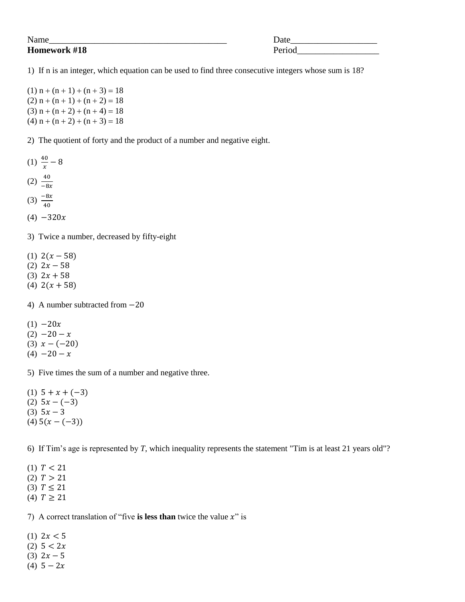## **Homework #18** Period

Name\_\_\_\_\_\_\_\_\_\_\_\_\_\_\_\_\_\_\_\_\_\_\_\_\_\_\_\_\_\_\_\_\_\_\_\_\_\_\_ Date\_\_\_\_\_\_\_\_\_\_\_\_\_\_\_\_\_\_\_

1) If n is an integer, which equation can be used to find three consecutive integers whose sum is 18?

 $(1) n + (n + 1) + (n + 3) = 18$  $(2) n + (n + 1) + (n + 2) = 18$  $(3) n + (n + 2) + (n + 4) = 18$ (4)  $n + (n + 2) + (n + 3) = 18$ 

2) The quotient of forty and the product of a number and negative eight.

- $(1) \frac{40}{x}$  –
- $(2) -$
- 
- $(3) \frac{-8}{4}$
- $(4) -320x$

3) Twice a number, decreased by fifty-eight

- (1)  $2(x-58)$
- (2)  $2x 58$
- $(3)$  2x + 58
- (4)  $2(x+58)$

4) A number subtracted from  $-20$ 

- $(1) -20x$
- $(2) -20 x$
- (3)  $x (-20)$
- $(4) -20 x$

5) Five times the sum of a number and negative three.

(1)  $5 + x + (-3)$ (2)  $5x - (-3)$ (3)  $5x - 3$  $(4) 5(x-(-3))$ 

6) If Tim's age is represented by *T*, which inequality represents the statement "Tim is at least 21 years old"?

- (1)  $T < 21$
- (2)  $T > 21$
- (3)  $T \le 21$
- (4)  $T \ge 21$

7) A correct translation of "five is less than twice the value  $x$ " is

- (1)  $2x < 5$
- (2)  $5 < 2x$
- (3)  $2x 5$
- (4)  $5 2x$